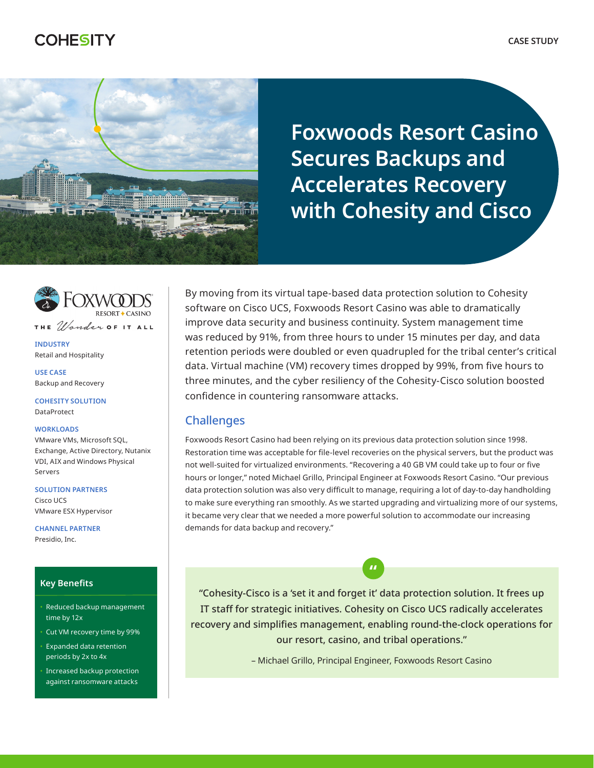# **COHESITY**



**Foxwoods Resort Casino Secures Backups and Accelerates Recovery with Cohesity and Cisco**



**INDUSTRY** Retail and Hospitality

**USE CASE** Backup and Recovery

**COHESITY SOLUTION** DataProtect

#### **WORKLOADS**

VMware VMs, Microsoft SQL, Exchange, Active Directory, Nutanix VDI, AIX and Windows Physical Servers

**SOLUTION PARTNERS** Cisco UCS VMware ESX Hypervisor

**CHANNEL PARTNER** Presidio, Inc.

#### **Key Benefits**

- Reduced backup management time by 12x
- Cut VM recovery time by 99%
- Expanded data retention periods by 2x to 4x
- Increased backup protection against ransomware attacks

By moving from its virtual tape-based data protection solution to Cohesity software on Cisco UCS, Foxwoods Resort Casino was able to dramatically improve data security and business continuity. System management time was reduced by 91%, from three hours to under 15 minutes per day, and data retention periods were doubled or even quadrupled for the tribal center's critical data. Virtual machine (VM) recovery times dropped by 99%, from five hours to three minutes, and the cyber resiliency of the Cohesity-Cisco solution boosted confidence in countering ransomware attacks.

# **Challenges**

Foxwoods Resort Casino had been relying on its previous data protection solution since 1998. Restoration time was acceptable for file-level recoveries on the physical servers, but the product was not well-suited for virtualized environments. "Recovering a 40 GB VM could take up to four or five hours or longer," noted Michael Grillo, Principal Engineer at Foxwoods Resort Casino. "Our previous data protection solution was also very difficult to manage, requiring a lot of day-to-day handholding to make sure everything ran smoothly. As we started upgrading and virtualizing more of our systems, it became very clear that we needed a more powerful solution to accommodate our increasing demands for data backup and recovery."

"Cohesity-Cisco is a 'set it and forget it' data protection solution. It frees up IT staff for strategic initiatives. Cohesity on Cisco UCS radically accelerates recovery and simplifies management, enabling round-the-clock operations for our resort, casino, and tribal operations."

**"**

– Michael Grillo, Principal Engineer, Foxwoods Resort Casino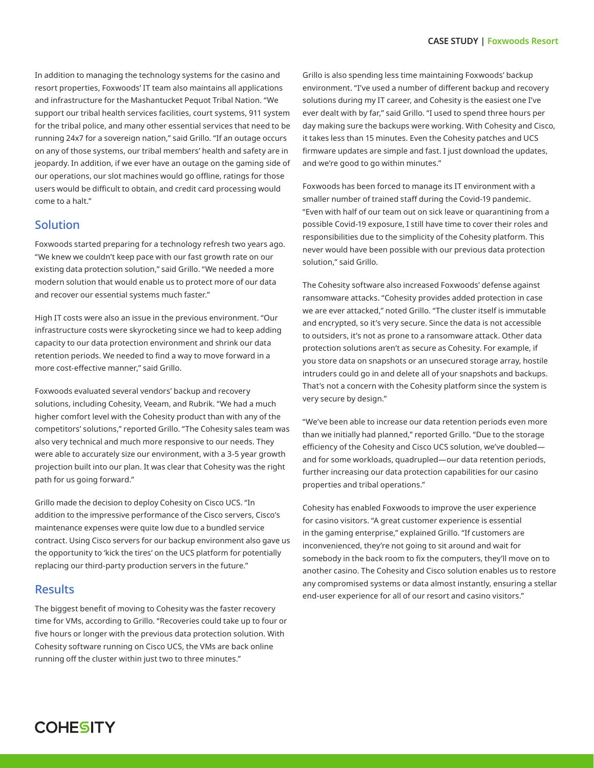In addition to managing the technology systems for the casino and resort properties, Foxwoods' IT team also maintains all applications and infrastructure for the Mashantucket Pequot Tribal Nation. "We support our tribal health services facilities, court systems, 911 system for the tribal police, and many other essential services that need to be running 24x7 for a sovereign nation," said Grillo. "If an outage occurs on any of those systems, our tribal members' health and safety are in jeopardy. In addition, if we ever have an outage on the gaming side of our operations, our slot machines would go offline, ratings for those users would be difficult to obtain, and credit card processing would come to a halt."

## Solution

Foxwoods started preparing for a technology refresh two years ago. "We knew we couldn't keep pace with our fast growth rate on our existing data protection solution," said Grillo. "We needed a more modern solution that would enable us to protect more of our data and recover our essential systems much faster."

High IT costs were also an issue in the previous environment. "Our infrastructure costs were skyrocketing since we had to keep adding capacity to our data protection environment and shrink our data retention periods. We needed to find a way to move forward in a more cost-effective manner," said Grillo.

Foxwoods evaluated several vendors' backup and recovery solutions, including Cohesity, Veeam, and Rubrik. "We had a much higher comfort level with the Cohesity product than with any of the competitors' solutions," reported Grillo. "The Cohesity sales team was also very technical and much more responsive to our needs. They were able to accurately size our environment, with a 3-5 year growth projection built into our plan. It was clear that Cohesity was the right path for us going forward."

Grillo made the decision to deploy Cohesity on Cisco UCS. "In addition to the impressive performance of the Cisco servers, Cisco's maintenance expenses were quite low due to a bundled service contract. Using Cisco servers for our backup environment also gave us the opportunity to 'kick the tires' on the UCS platform for potentially replacing our third-party production servers in the future."

### **Results**

The biggest benefit of moving to Cohesity was the faster recovery time for VMs, according to Grillo. "Recoveries could take up to four or five hours or longer with the previous data protection solution. With Cohesity software running on Cisco UCS, the VMs are back online running off the cluster within just two to three minutes."

Grillo is also spending less time maintaining Foxwoods' backup environment. "I've used a number of different backup and recovery solutions during my IT career, and Cohesity is the easiest one I've ever dealt with by far," said Grillo. "I used to spend three hours per day making sure the backups were working. With Cohesity and Cisco, it takes less than 15 minutes. Even the Cohesity patches and UCS firmware updates are simple and fast. I just download the updates, and we're good to go within minutes."

Foxwoods has been forced to manage its IT environment with a smaller number of trained staff during the Covid-19 pandemic. "Even with half of our team out on sick leave or quarantining from a possible Covid-19 exposure, I still have time to cover their roles and responsibilities due to the simplicity of the Cohesity platform. This never would have been possible with our previous data protection solution," said Grillo.

The Cohesity software also increased Foxwoods' defense against ransomware attacks. "Cohesity provides added protection in case we are ever attacked," noted Grillo. "The cluster itself is immutable and encrypted, so it's very secure. Since the data is not accessible to outsiders, it's not as prone to a ransomware attack. Other data protection solutions aren't as secure as Cohesity. For example, if you store data on snapshots or an unsecured storage array, hostile intruders could go in and delete all of your snapshots and backups. That's not a concern with the Cohesity platform since the system is very secure by design."

"We've been able to increase our data retention periods even more than we initially had planned," reported Grillo. "Due to the storage efficiency of the Cohesity and Cisco UCS solution, we've doubled and for some workloads, quadrupled—our data retention periods, further increasing our data protection capabilities for our casino properties and tribal operations."

Cohesity has enabled Foxwoods to improve the user experience for casino visitors. "A great customer experience is essential in the gaming enterprise," explained Grillo. "If customers are inconvenienced, they're not going to sit around and wait for somebody in the back room to fix the computers, they'll move on to another casino. The Cohesity and Cisco solution enables us to restore any compromised systems or data almost instantly, ensuring a stellar end-user experience for all of our resort and casino visitors."